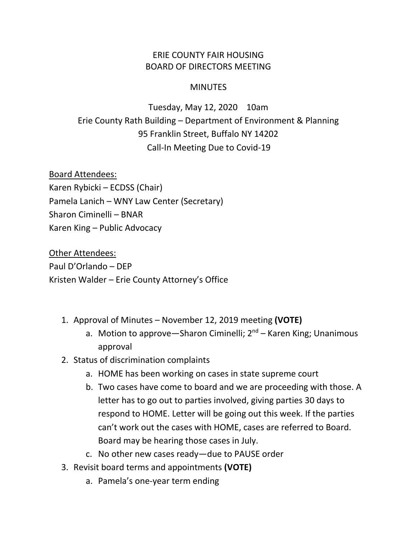## ERIE COUNTY FAIR HOUSING BOARD OF DIRECTORS MEETING

## **MINUTES**

Tuesday, May 12, 2020 10am Erie County Rath Building – Department of Environment & Planning 95 Franklin Street, Buffalo NY 14202 Call-In Meeting Due to Covid-19

Board Attendees: Karen Rybicki – ECDSS (Chair) Pamela Lanich – WNY Law Center (Secretary) Sharon Ciminelli – BNAR Karen King – Public Advocacy

Other Attendees: Paul D'Orlando – DEP Kristen Walder – Erie County Attorney's Office

- 1. Approval of Minutes November 12, 2019 meeting **(VOTE)**
	- a. Motion to approve—Sharon Ciminelli;  $2^{nd}$  Karen King; Unanimous approval
- 2. Status of discrimination complaints
	- a. HOME has been working on cases in state supreme court
	- b. Two cases have come to board and we are proceeding with those. A letter has to go out to parties involved, giving parties 30 days to respond to HOME. Letter will be going out this week. If the parties can't work out the cases with HOME, cases are referred to Board. Board may be hearing those cases in July.
	- c. No other new cases ready—due to PAUSE order
- 3. Revisit board terms and appointments **(VOTE)**
	- a. Pamela's one-year term ending